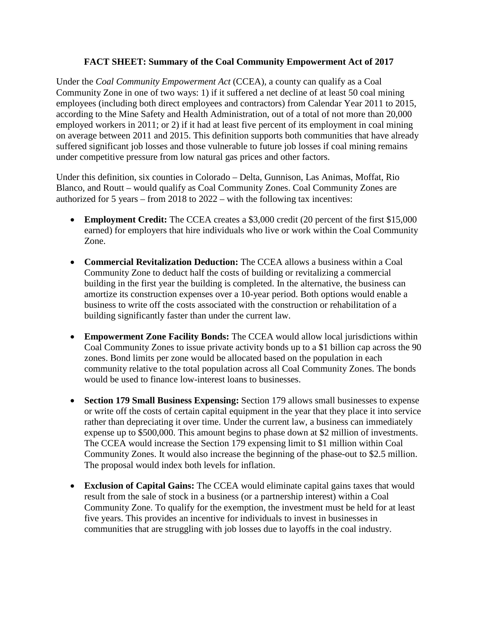## **FACT SHEET: Summary of the Coal Community Empowerment Act of 2017**

Under the *Coal Community Empowerment Act* (CCEA), a county can qualify as a Coal Community Zone in one of two ways: 1) if it suffered a net decline of at least 50 coal mining employees (including both direct employees and contractors) from Calendar Year 2011 to 2015, according to the Mine Safety and Health Administration, out of a total of not more than 20,000 employed workers in 2011; or 2) if it had at least five percent of its employment in coal mining on average between 2011 and 2015. This definition supports both communities that have already suffered significant job losses and those vulnerable to future job losses if coal mining remains under competitive pressure from low natural gas prices and other factors.

Under this definition, six counties in Colorado – Delta, Gunnison, Las Animas, Moffat, Rio Blanco, and Routt – would qualify as Coal Community Zones. Coal Community Zones are authorized for 5 years – from 2018 to 2022 – with the following tax incentives:

- **Employment Credit:** The CCEA creates a \$3,000 credit (20 percent of the first \$15,000 earned) for employers that hire individuals who live or work within the Coal Community Zone.
- **Commercial Revitalization Deduction:** The CCEA allows a business within a Coal Community Zone to deduct half the costs of building or revitalizing a commercial building in the first year the building is completed. In the alternative, the business can amortize its construction expenses over a 10-year period. Both options would enable a business to write off the costs associated with the construction or rehabilitation of a building significantly faster than under the current law.
- **Empowerment Zone Facility Bonds:** The CCEA would allow local jurisdictions within Coal Community Zones to issue private activity bonds up to a \$1 billion cap across the 90 zones. Bond limits per zone would be allocated based on the population in each community relative to the total population across all Coal Community Zones. The bonds would be used to finance low-interest loans to businesses.
- **Section 179 Small Business Expensing:** Section 179 allows small businesses to expense or write off the costs of certain capital equipment in the year that they place it into service rather than depreciating it over time. Under the current law, a business can immediately expense up to \$500,000. This amount begins to phase down at \$2 million of investments. The CCEA would increase the Section 179 expensing limit to \$1 million within Coal Community Zones. It would also increase the beginning of the phase-out to \$2.5 million. The proposal would index both levels for inflation.
- **Exclusion of Capital Gains:** The CCEA would eliminate capital gains taxes that would result from the sale of stock in a business (or a partnership interest) within a Coal Community Zone. To qualify for the exemption, the investment must be held for at least five years. This provides an incentive for individuals to invest in businesses in communities that are struggling with job losses due to layoffs in the coal industry.